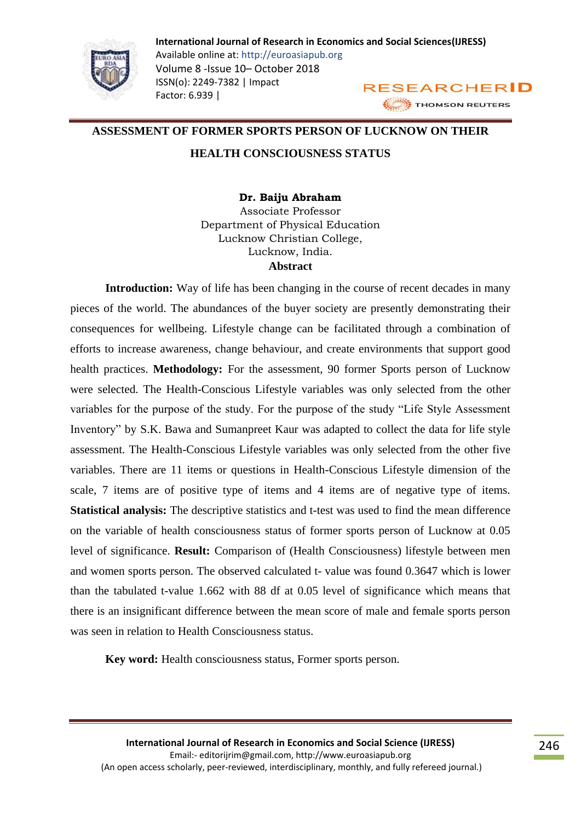

### **ASSESSMENT OF FORMER SPORTS PERSON OF LUCKNOW ON THEIR**

### **HEALTH CONSCIOUSNESS STATUS**

**Dr. Baiju Abraham** Associate Professor Department of Physical Education Lucknow Christian College, Lucknow, India. **Abstract**

**Introduction:** Way of life has been changing in the course of recent decades in many pieces of the world. The abundances of the buyer society are presently demonstrating their consequences for wellbeing. Lifestyle change can be facilitated through a combination of efforts to increase awareness, change behaviour, and create environments that support good health practices. **Methodology:** For the assessment, 90 former Sports person of Lucknow were selected. The Health-Conscious Lifestyle variables was only selected from the other variables for the purpose of the study. For the purpose of the study "Life Style Assessment Inventory" by S.K. Bawa and Sumanpreet Kaur was adapted to collect the data for life style assessment. The Health-Conscious Lifestyle variables was only selected from the other five variables. There are 11 items or questions in Health-Conscious Lifestyle dimension of the scale, 7 items are of positive type of items and 4 items are of negative type of items. **Statistical analysis:** The descriptive statistics and t-test was used to find the mean difference on the variable of health consciousness status of former sports person of Lucknow at 0.05 level of significance. **Result:** Comparison of (Health Consciousness) lifestyle between men and women sports person. The observed calculated t- value was found 0.3647 which is lower than the tabulated t-value 1.662 with 88 df at 0.05 level of significance which means that there is an insignificant difference between the mean score of male and female sports person was seen in relation to Health Consciousness status.

**Key word:** Health consciousness status, Former sports person.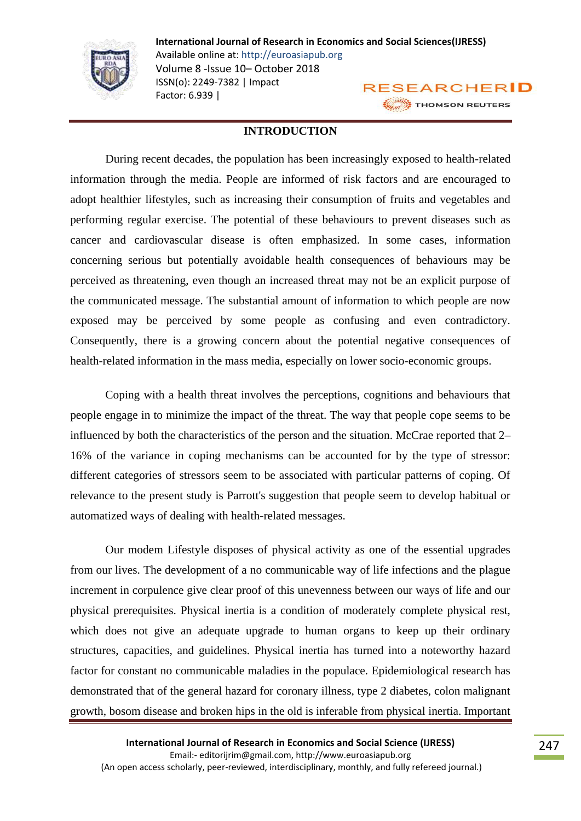

#### **INTRODUCTION**

During recent decades, the population has been increasingly exposed to health-related information through the media. People are informed of risk factors and are encouraged to adopt healthier lifestyles, such as increasing their consumption of fruits and vegetables and performing regular exercise. The potential of these behaviours to prevent diseases such as cancer and cardiovascular disease is often emphasized. In some cases, information concerning serious but potentially avoidable health consequences of behaviours may be perceived as threatening, even though an increased threat may not be an explicit purpose of the communicated message. The substantial amount of information to which people are now exposed may be perceived by some people as confusing and even contradictory. Consequently, there is a growing concern about the potential negative consequences of health-related information in the mass media, especially on lower socio-economic groups.

Coping with a health threat involves the perceptions, cognitions and behaviours that people engage in to minimize the impact of the threat. The way that people cope seems to be influenced by both the characteristics of the person and the situation. McCrae reported that 2– 16% of the variance in coping mechanisms can be accounted for by the type of stressor: different categories of stressors seem to be associated with particular patterns of coping. Of relevance to the present study is Parrott's suggestion that people seem to develop habitual or automatized ways of dealing with health-related messages.

Our modem Lifestyle disposes of physical activity as one of the essential upgrades from our lives. The development of a no communicable way of life infections and the plague increment in corpulence give clear proof of this unevenness between our ways of life and our physical prerequisites. Physical inertia is a condition of moderately complete physical rest, which does not give an adequate upgrade to human organs to keep up their ordinary structures, capacities, and guidelines. Physical inertia has turned into a noteworthy hazard factor for constant no communicable maladies in the populace. Epidemiological research has demonstrated that of the general hazard for coronary illness, type 2 diabetes, colon malignant growth, bosom disease and broken hips in the old is inferable from physical inertia. Important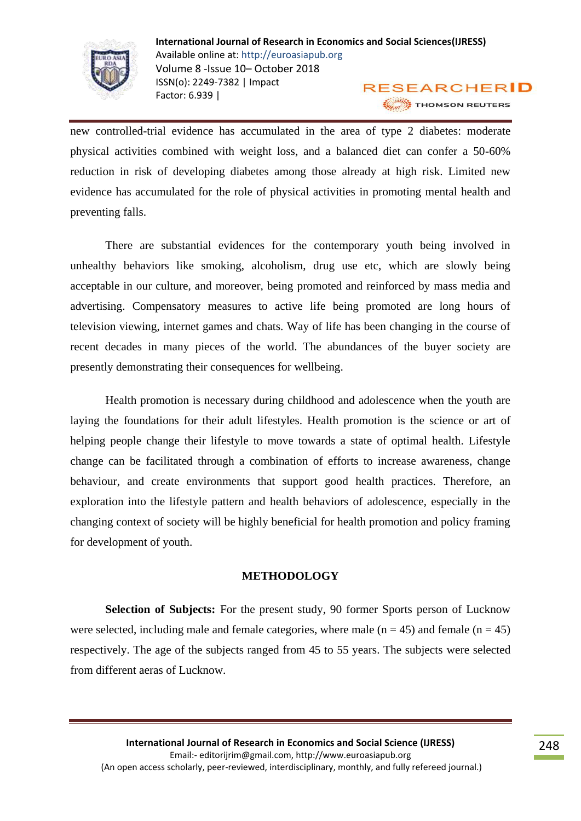

new controlled-trial evidence has accumulated in the area of type 2 diabetes: moderate physical activities combined with weight loss, and a balanced diet can confer a 50-60% reduction in risk of developing diabetes among those already at high risk. Limited new evidence has accumulated for the role of physical activities in promoting mental health and preventing falls.

There are substantial evidences for the contemporary youth being involved in unhealthy behaviors like smoking, alcoholism, drug use etc, which are slowly being acceptable in our culture, and moreover, being promoted and reinforced by mass media and advertising. Compensatory measures to active life being promoted are long hours of television viewing, internet games and chats. Way of life has been changing in the course of recent decades in many pieces of the world. The abundances of the buyer society are presently demonstrating their consequences for wellbeing.

Health promotion is necessary during childhood and adolescence when the youth are laying the foundations for their adult lifestyles. Health promotion is the science or art of helping people change their lifestyle to move towards a state of optimal health. Lifestyle change can be facilitated through a combination of efforts to increase awareness, change behaviour, and create environments that support good health practices. Therefore, an exploration into the lifestyle pattern and health behaviors of adolescence, especially in the changing context of society will be highly beneficial for health promotion and policy framing for development of youth.

### **METHODOLOGY**

**Selection of Subjects:** For the present study, 90 former Sports person of Lucknow were selected, including male and female categories, where male  $(n = 45)$  and female  $(n = 45)$ respectively. The age of the subjects ranged from 45 to 55 years. The subjects were selected from different aeras of Lucknow.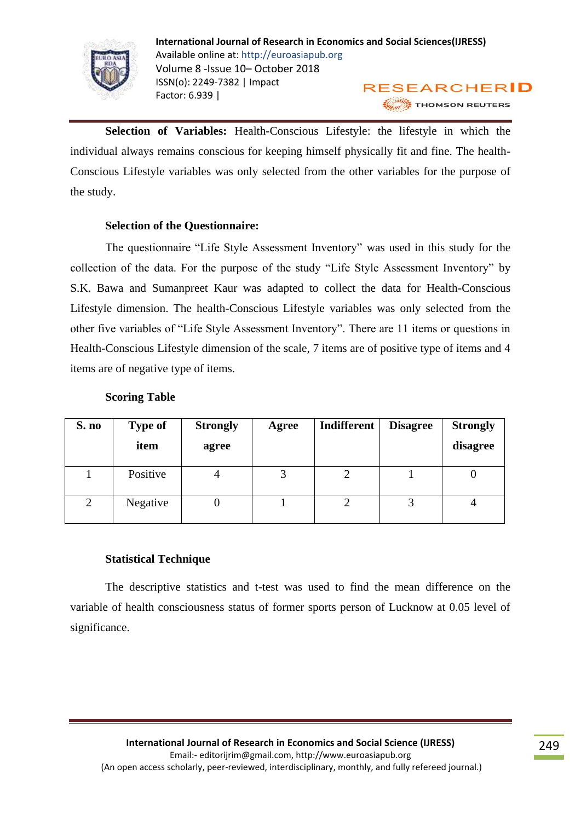

**Selection of Variables:** Health-Conscious Lifestyle: the lifestyle in which the individual always remains conscious for keeping himself physically fit and fine. The health-Conscious Lifestyle variables was only selected from the other variables for the purpose of the study.

# **Selection of the Questionnaire:**

The questionnaire "Life Style Assessment Inventory" was used in this study for the collection of the data. For the purpose of the study "Life Style Assessment Inventory" by S.K. Bawa and Sumanpreet Kaur was adapted to collect the data for Health-Conscious Lifestyle dimension. The health-Conscious Lifestyle variables was only selected from the other five variables of "Life Style Assessment Inventory". There are 11 items or questions in Health-Conscious Lifestyle dimension of the scale, 7 items are of positive type of items and 4 items are of negative type of items.

| S. no | <b>Type of</b><br>item | <b>Strongly</b><br>agree | Agree | Indifferent | <b>Disagree</b> | <b>Strongly</b><br>disagree |
|-------|------------------------|--------------------------|-------|-------------|-----------------|-----------------------------|
|       | Positive               |                          |       |             |                 |                             |
|       | Negative               |                          |       |             |                 |                             |

## **Scoring Table**

## **Statistical Technique**

The descriptive statistics and t-test was used to find the mean difference on the variable of health consciousness status of former sports person of Lucknow at 0.05 level of significance.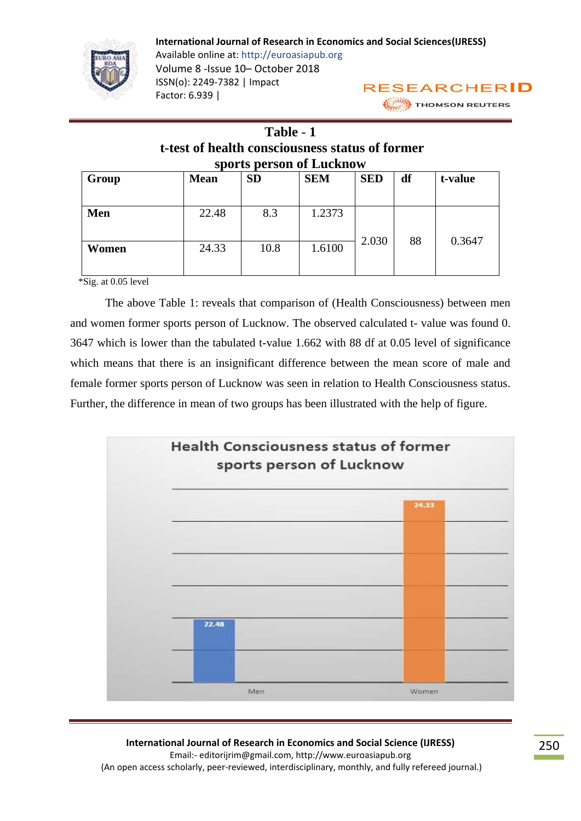

# **Table** - **1 t-test of health consciousness status of former sports person of Lucknow**

| Group | <b>Mean</b> | <b>SD</b> | <b>SEM</b> | <b>SED</b> | df | t-value |
|-------|-------------|-----------|------------|------------|----|---------|
| Men   | 22.48       | 8.3       | 1.2373     | 2.030      | 88 | 0.3647  |
| Women | 24.33       | 10.8      | 1.6100     |            |    |         |

\*Sig. at 0.05 level

The above Table 1: reveals that comparison of (Health Consciousness) between men and women former sports person of Lucknow. The observed calculated t- value was found 0. 3647 which is lower than the tabulated t-value 1.662 with 88 df at 0.05 level of significance which means that there is an insignificant difference between the mean score of male and female former sports person of Lucknow was seen in relation to Health Consciousness status. Further, the difference in mean of two groups has been illustrated with the help of figure.